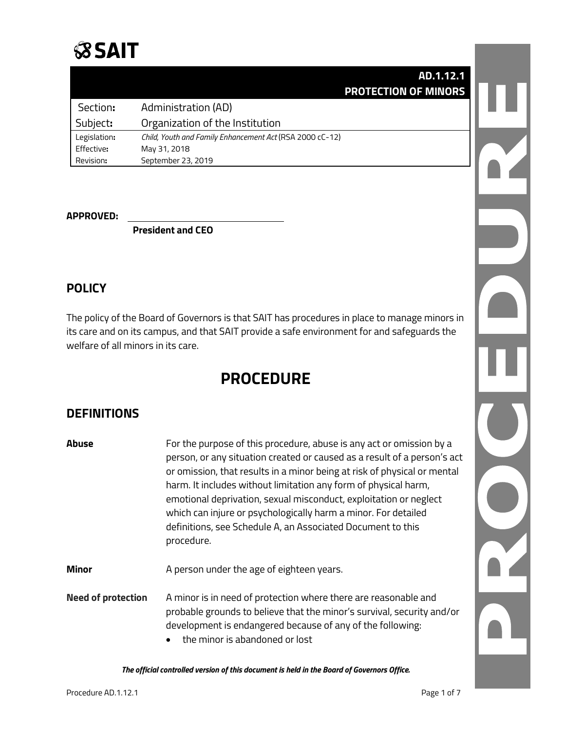# **SSAIT**

|              | AD.1.12.1                                                |
|--------------|----------------------------------------------------------|
|              | <b>PROTECTION OF MINORS</b>                              |
| Section:     | Administration (AD)                                      |
| Subject:     | Organization of the Institution                          |
| Legislation: | Child, Youth and Family Enhancement Act (RSA 2000 cC-12) |
| Effective:   | May 31, 2018                                             |
| Revision:    | September 23, 2019                                       |

#### **APPROVED:**

**President and CEO**

## **POLICY**

The policy of the Board of Governors is that SAIT has procedures in place to manage minors in its care and on its campus, and that SAIT provide a safe environment for and safeguards the welfare of all minors in its care.

## **PROCEDURE**

## **DEFINITIONS**

| Abuse                     | For the purpose of this procedure, abuse is any act or omission by a<br>person, or any situation created or caused as a result of a person's act<br>or omission, that results in a minor being at risk of physical or mental<br>harm. It includes without limitation any form of physical harm,<br>emotional deprivation, sexual misconduct, exploitation or neglect<br>which can injure or psychologically harm a minor. For detailed<br>definitions, see Schedule A, an Associated Document to this<br>procedure. |
|---------------------------|---------------------------------------------------------------------------------------------------------------------------------------------------------------------------------------------------------------------------------------------------------------------------------------------------------------------------------------------------------------------------------------------------------------------------------------------------------------------------------------------------------------------|
| Minor                     | A person under the age of eighteen years.                                                                                                                                                                                                                                                                                                                                                                                                                                                                           |
| <b>Need of protection</b> | A minor is in need of protection where there are reasonable and<br>probable grounds to believe that the minor's survival, security and/or<br>development is endangered because of any of the following:<br>the minor is abandoned or lost                                                                                                                                                                                                                                                                           |

*The official controlled version of this document is held in the Board of Governors Office.*

OZ.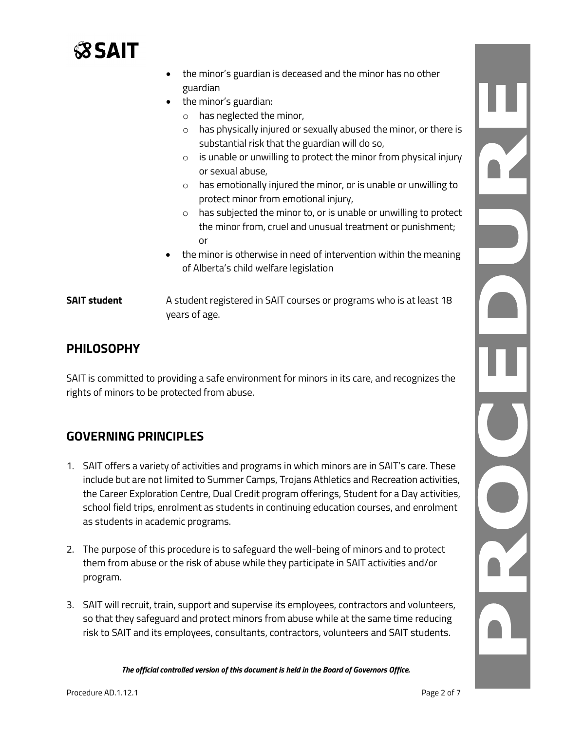

|                     | the minor's guardian is deceased and the minor has no other                                                                                                                                                                                                                                                                                                                              |
|---------------------|------------------------------------------------------------------------------------------------------------------------------------------------------------------------------------------------------------------------------------------------------------------------------------------------------------------------------------------------------------------------------------------|
|                     | guardian                                                                                                                                                                                                                                                                                                                                                                                 |
|                     | the minor's guardian:<br>$\bullet$<br>$\circ$ has neglected the minor,<br>has physically injured or sexually abused the minor, or there is<br>$\circ$<br>substantial risk that the guardian will do so,<br>is unable or unwilling to protect the minor from physical injury<br>$\circ$<br>or sexual abuse,<br>has emotionally injured the minor, or is unable or unwilling to<br>$\circ$ |
|                     | protect minor from emotional injury,<br>has subjected the minor to, or is unable or unwilling to protect<br>$\circ$<br>the minor from, cruel and unusual treatment or punishment;<br>or<br>the minor is otherwise in need of intervention within the meaning<br>$\bullet$<br>of Alberta's child welfare legislation                                                                      |
| <b>SAIT student</b> | A student registered in SAIT courses or programs who is at least 18<br>years of age.                                                                                                                                                                                                                                                                                                     |

## **PHILOSOPHY**

SAIT is committed to providing a safe environment for minors in its care, and recognizes the rights of minors to be protected from abuse.

## **GOVERNING PRINCIPLES**

- 1. SAIT offers a variety of activities and programs in which minors are in SAIT's care. These include but are not limited to Summer Camps, Trojans Athletics and Recreation activities, the Career Exploration Centre, Dual Credit program offerings, Student for a Day activities, school field trips, enrolment as students in continuing education courses, and enrolment as students in academic programs.
- 2. The purpose of this procedure is to safeguard the well-being of minors and to protect them from abuse or the risk of abuse while they participate in SAIT activities and/or program.
- 3. SAIT will recruit, train, support and supervise its employees, contractors and volunteers, so that they safeguard and protect minors from abuse while at the same time reducing risk to SAIT and its employees, consultants, contractors, volunteers and SAIT students.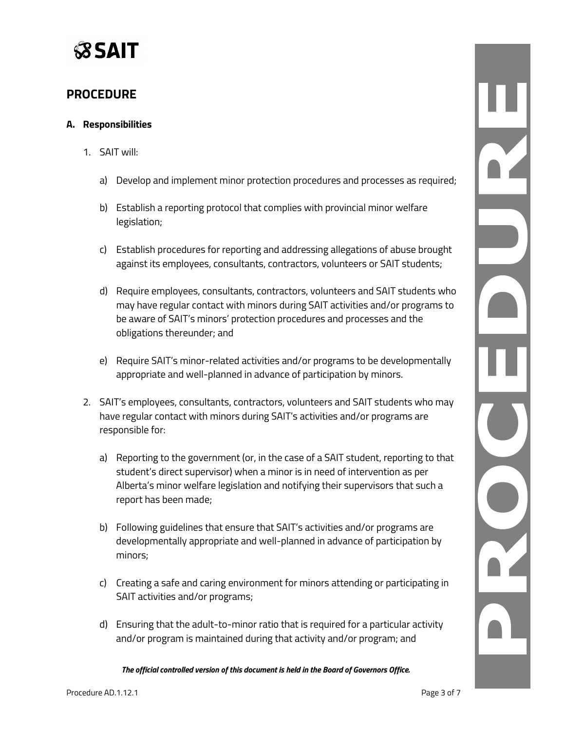

### **PROCEDURE**

#### **A. Responsibilities**

- 1. SAIT will:
	- a) Develop and implement minor protection procedures and processes as required;
	- b) Establish a reporting protocol that complies with provincial minor welfare legislation;
	- c) Establish procedures for reporting and addressing allegations of abuse brought against its employees, consultants, contractors, volunteers or SAIT students;
	- d) Require employees, consultants, contractors, volunteers and SAIT students who may have regular contact with minors during SAIT activities and/or programs to be aware of SAIT's minors' protection procedures and processes and the obligations thereunder; and
	- e) Require SAIT's minor-related activities and/or programs to be developmentally appropriate and well-planned in advance of participation by minors.
- 2. SAIT's employees, consultants, contractors, volunteers and SAIT students who may have regular contact with minors during SAIT's activities and/or programs are responsible for:
	- a) Reporting to the government (or, in the case of a SAIT student, reporting to that student's direct supervisor) when a minor is in need of intervention as per Alberta's minor welfare legislation and notifying their supervisors that such a report has been made;
	- b) Following guidelines that ensure that SAIT's activities and/or programs are developmentally appropriate and well-planned in advance of participation by minors;
	- c) Creating a safe and caring environment for minors attending or participating in SAIT activities and/or programs;
	- d) Ensuring that the adult-to-minor ratio that is required for a particular activity and/or program is maintained during that activity and/or program; and

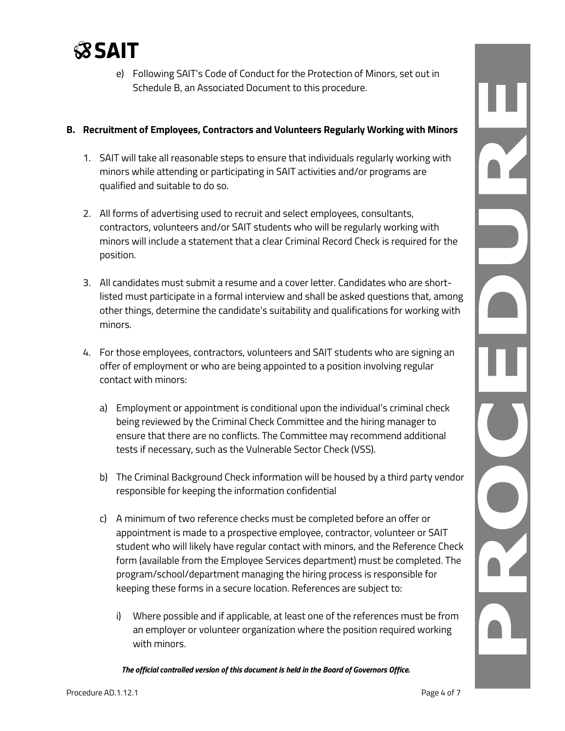

e) Following SAIT's Code of Conduct for the Protection of Minors, set out in Schedule B, an Associated Document to this procedure.

#### **B. Recruitment of Employees, Contractors and Volunteers Regularly Working with Minors**

- 1. SAIT will take all reasonable steps to ensure that individuals regularly working with minors while attending or participating in SAIT activities and/or programs are qualified and suitable to do so.
- 2. All forms of advertising used to recruit and select employees, consultants, contractors, volunteers and/or SAIT students who will be regularly working with minors will include a statement that a clear Criminal Record Check is required for the position.
- 3. All candidates must submit a resume and a cover letter. Candidates who are shortlisted must participate in a formal interview and shall be asked questions that, among other things, determine the candidate's suitability and qualifications for working with minors.
- 4. For those employees, contractors, volunteers and SAIT students who are signing an offer of employment or who are being appointed to a position involving regular contact with minors:
	- a) Employment or appointment is conditional upon the individual's criminal check being reviewed by the Criminal Check Committee and the hiring manager to ensure that there are no conflicts. The Committee may recommend additional tests if necessary, such as the Vulnerable Sector Check (VSS).
	- b) The Criminal Background Check information will be housed by a third party vendor responsible for keeping the information confidential
	- c) A minimum of two reference checks must be completed before an offer or appointment is made to a prospective employee, contractor, volunteer or SAIT student who will likely have regular contact with minors, and the Reference Check form (available from the Employee Services department) must be completed. The program/school/department managing the hiring process is responsible for keeping these forms in a secure location. References are subject to:
		- i) Where possible and if applicable, at least one of the references must be from an employer or volunteer organization where the position required working with minors.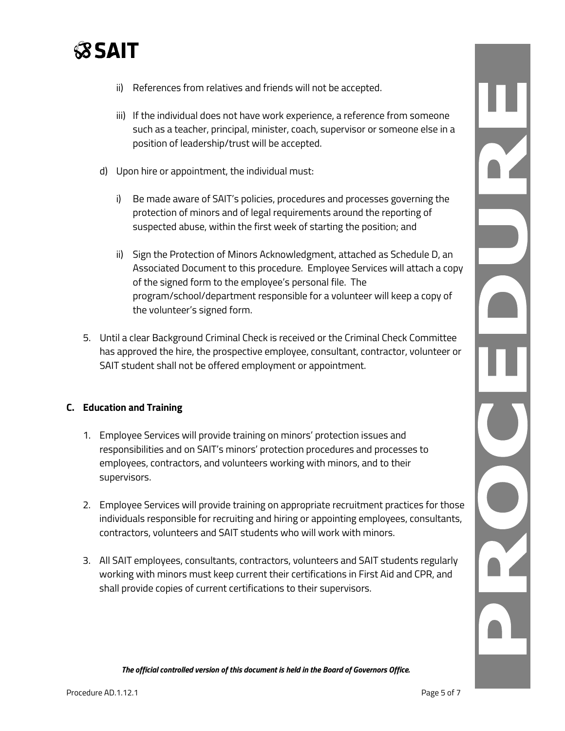

- ii) References from relatives and friends will not be accepted.
- iii) If the individual does not have work experience, a reference from someone such as a teacher, principal, minister, coach, supervisor or someone else in a position of leadership/trust will be accepted.
- d) Upon hire or appointment, the individual must:
	- i) Be made aware of SAIT's policies, procedures and processes governing the protection of minors and of legal requirements around the reporting of suspected abuse, within the first week of starting the position; and
	- ii) Sign the Protection of Minors Acknowledgment, attached as Schedule D, an Associated Document to this procedure. Employee Services will attach a copy of the signed form to the employee's personal file. The program/school/department responsible for a volunteer will keep a copy of the volunteer's signed form.
- 5. Until a clear Background Criminal Check is received or the Criminal Check Committee has approved the hire, the prospective employee, consultant, contractor, volunteer or SAIT student shall not be offered employment or appointment.

#### **C. Education and Training**

- 1. Employee Services will provide training on minors' protection issues and responsibilities and on SAIT's minors' protection procedures and processes to employees, contractors, and volunteers working with minors, and to their supervisors.
- 2. Employee Services will provide training on appropriate recruitment practices for those individuals responsible for recruiting and hiring or appointing employees, consultants, contractors, volunteers and SAIT students who will work with minors.
- 3. All SAIT employees, consultants, contractors, volunteers and SAIT students regularly working with minors must keep current their certifications in First Aid and CPR, and shall provide copies of current certifications to their supervisors.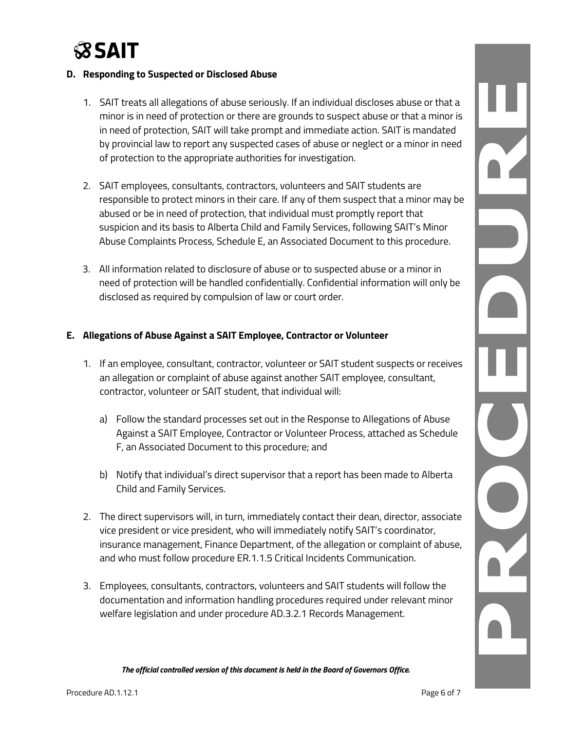

#### **D. Responding to Suspected or Disclosed Abuse**

- 1. SAIT treats all allegations of abuse seriously. If an individual discloses abuse or that a minor is in need of protection or there are grounds to suspect abuse or that a minor is in need of protection, SAIT will take prompt and immediate action. SAIT is mandated by provincial law to report any suspected cases of abuse or neglect or a minor in need of protection to the appropriate authorities for investigation.
- 2. SAIT employees, consultants, contractors, volunteers and SAIT students are responsible to protect minors in their care. If any of them suspect that a minor may be abused or be in need of protection, that individual must promptly report that suspicion and its basis to Alberta Child and Family Services, following SAIT's Minor Abuse Complaints Process, Schedule E, an Associated Document to this procedure.
- 3. All information related to disclosure of abuse or to suspected abuse or a minor in need of protection will be handled confidentially. Confidential information will only be disclosed as required by compulsion of law or court order.

#### **E. Allegations of Abuse Against a SAIT Employee, Contractor or Volunteer**

- 1. If an employee, consultant, contractor, volunteer or SAIT student suspects or receives an allegation or complaint of abuse against another SAIT employee, consultant, contractor, volunteer or SAIT student, that individual will:
	- a) Follow the standard processes set out in the Response to Allegations of Abuse Against a SAIT Employee, Contractor or Volunteer Process, attached as Schedule F, an Associated Document to this procedure; and
	- b) Notify that individual's direct supervisor that a report has been made to Alberta Child and Family Services.
- 2. The direct supervisors will, in turn, immediately contact their dean, director, associate vice president or vice president, who will immediately notify SAIT's coordinator, insurance management, Finance Department, of the allegation or complaint of abuse, and who must follow procedure ER.1.1.5 Critical Incidents Communication.
- 3. Employees, consultants, contractors, volunteers and SAIT students will follow the documentation and information handling procedures required under relevant minor welfare legislation and under procedure AD.3.2.1 Records Management.